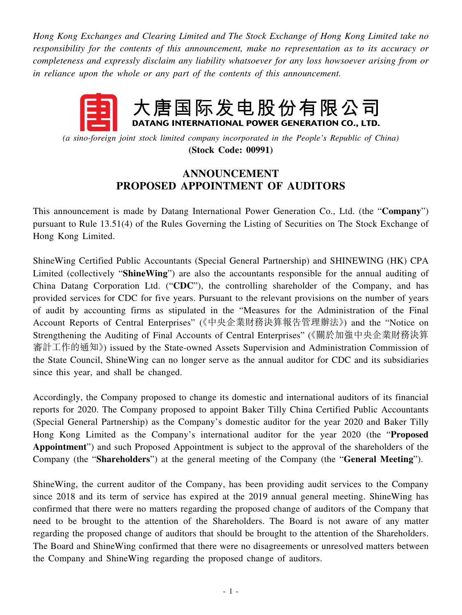*Hong Kong Exchanges and Clearing Limited and The Stock Exchange of Hong Kong Limited take no responsibility for the contents of this announcement, make no representation as to its accuracy or completeness and expressly disclaim any liability whatsoever for any loss howsoever arising from or in reliance upon the whole or any part of the contents of this announcement.*

## 大唐国际发电股份有限公司 DATANG INTERNATIONAL POWER GENERATION CO., LTD.

*(a sino-foreign joint stock limited company incorporated in the People's Republic of China)* **(Stock Code: 00991)**

## **ANNOUNCEMENT PROPOSED APPOINTMENT OF AUDITORS**

This announcement is made by Datang International Power Generation Co., Ltd. (the "**Company**") pursuant to Rule 13.51(4) of the Rules Governing the Listing of Securities on The Stock Exchange of Hong Kong Limited.

ShineWing Certified Public Accountants (Special General Partnership) and SHINEWING (HK) CPA Limited (collectively "**ShineWing**") are also the accountants responsible for the annual auditing of China Datang Corporation Ltd. ("**CDC**"), the controlling shareholder of the Company, and has provided services for CDC for five years. Pursuant to the relevant provisions on the number of years of audit by accounting firms as stipulated in the "Measures for the Administration of the Final Account Reports of Central Enterprises" (《中央企業財務決算報告管理辦法》) and the "Notice on Strengthening the Auditing of Final Accounts of Central Enterprises" (《關於加強中央企業財務決算 審計工作的通知》) issued by the State-owned Assets Supervision and Administration Commission of the State Council, ShineWing can no longer serve as the annual auditor for CDC and its subsidiaries since this year, and shall be changed.

Accordingly, the Company proposed to change its domestic and international auditors of its financial reports for 2020. The Company proposed to appoint Baker Tilly China Certified Public Accountants (Special General Partnership) as the Company's domestic auditor for the year 2020 and Baker Tilly Hong Kong Limited as the Company's international auditor for the year 2020 (the "**Proposed Appointment**") and such Proposed Appointment is subject to the approval of the shareholders of the Company (the "**Shareholders**") at the general meeting of the Company (the "**General Meeting**").

ShineWing, the current auditor of the Company, has been providing audit services to the Company since 2018 and its term of service has expired at the 2019 annual general meeting. ShineWing has confirmed that there were no matters regarding the proposed change of auditors of the Company that need to be brought to the attention of the Shareholders. The Board is not aware of any matter regarding the proposed change of auditors that should be brought to the attention of the Shareholders. The Board and ShineWing confirmed that there were no disagreements or unresolved matters between the Company and ShineWing regarding the proposed change of auditors.